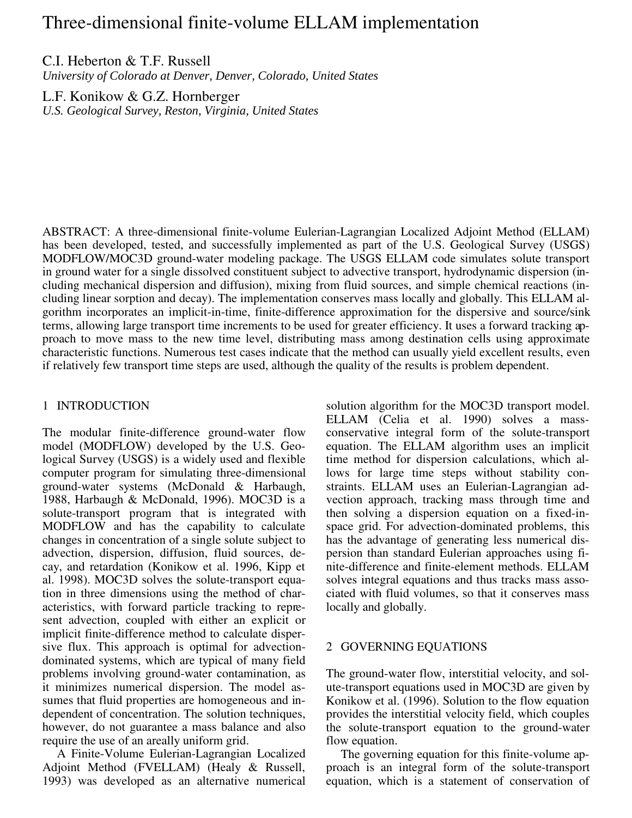# Three-dimensional finite-volume ELLAM implementation

# C.I. Heberton & T.F. Russell

*University of Colorado at Denver, Denver, Colorado, United States*

L.F. Konikow & G.Z. Hornberger

*U.S. Geological Survey, Reston, Virginia, United States*

ABSTRACT: A three-dimensional finite-volume Eulerian-Lagrangian Localized Adjoint Method (ELLAM) has been developed, tested, and successfully implemented as part of the U.S. Geological Survey (USGS) MODFLOW/MOC3D ground-water modeling package. The USGS ELLAM code simulates solute transport in ground water for a single dissolved constituent subject to advective transport, hydrodynamic dispersion (including mechanical dispersion and diffusion), mixing from fluid sources, and simple chemical reactions (including linear sorption and decay). The implementation conserves mass locally and globally. This ELLAM algorithm incorporates an implicit-in-time, finite-difference approximation for the dispersive and source/sink terms, allowing large transport time increments to be used for greater efficiency. It uses a forward tracking approach to move mass to the new time level, distributing mass among destination cells using approximate characteristic functions. Numerous test cases indicate that the method can usually yield excellent results, even if relatively few transport time steps are used, although the quality of the results is problem dependent.

#### 1 INTRODUCTION

The modular finite-difference ground-water flow model (MODFLOW) developed by the U.S. Geological Survey (USGS) is a widely used and flexible computer program for simulating three-dimensional ground-water systems (McDonald & Harbaugh, 1988, Harbaugh & McDonald, 1996). MOC3D is a solute-transport program that is integrated with MODFLOW and has the capability to calculate changes in concentration of a single solute subject to advection, dispersion, diffusion, fluid sources, decay, and retardation (Konikow et al. 1996, Kipp et al. 1998). MOC3D solves the solute-transport equation in three dimensions using the method of characteristics, with forward particle tracking to represent advection, coupled with either an explicit or implicit finite-difference method to calculate dispersive flux. This approach is optimal for advectiondominated systems, which are typical of many field problems involving ground-water contamination, as it minimizes numerical dispersion. The model assumes that fluid properties are homogeneous and independent of concentration. The solution techniques, however, do not guarantee a mass balance and also require the use of an areally uniform grid.

A Finite-Volume Eulerian-Lagrangian Localized Adjoint Method (FVELLAM) (Healy & Russell, 1993) was developed as an alternative numerical

solution algorithm for the MOC3D transport model. ELLAM (Celia et al. 1990) solves a massconservative integral form of the solute-transport equation. The ELLAM algorithm uses an implicit time method for dispersion calculations, which allows for large time steps without stability constraints. ELLAM uses an Eulerian-Lagrangian advection approach, tracking mass through time and then solving a dispersion equation on a fixed-inspace grid. For advection-dominated problems, this has the advantage of generating less numerical dispersion than standard Eulerian approaches using finite-difference and finite-element methods. ELLAM solves integral equations and thus tracks mass associated with fluid volumes, so that it conserves mass locally and globally.

### 2 GOVERNING EQUATIONS

The ground-water flow, interstitial velocity, and solute-transport equations used in MOC3D are given by Konikow et al. (1996). Solution to the flow equation provides the interstitial velocity field, which couples the solute-transport equation to the ground-water flow equation.

The governing equation for this finite-volume approach is an integral form of the solute-transport equation, which is a statement of conservation of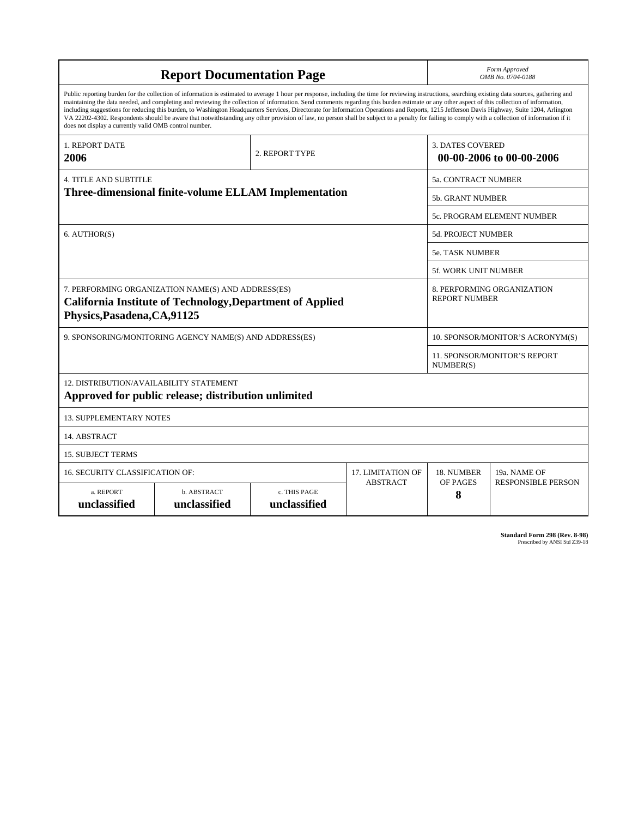| <b>Report Documentation Page</b>                                                                                                                                                                                                                                                                                                                                                                                                                                                                                                                                                                                                                                                                                                                                                                                                                                   |                             |                              |                                                     | Form Approved<br>OMB No. 0704-0188                 |                                                  |  |
|--------------------------------------------------------------------------------------------------------------------------------------------------------------------------------------------------------------------------------------------------------------------------------------------------------------------------------------------------------------------------------------------------------------------------------------------------------------------------------------------------------------------------------------------------------------------------------------------------------------------------------------------------------------------------------------------------------------------------------------------------------------------------------------------------------------------------------------------------------------------|-----------------------------|------------------------------|-----------------------------------------------------|----------------------------------------------------|--------------------------------------------------|--|
| Public reporting burden for the collection of information is estimated to average 1 hour per response, including the time for reviewing instructions, searching existing data sources, gathering and<br>maintaining the data needed, and completing and reviewing the collection of information. Send comments regarding this burden estimate or any other aspect of this collection of information,<br>including suggestions for reducing this burden, to Washington Headquarters Services, Directorate for Information Operations and Reports, 1215 Jefferson Davis Highway, Suite 1204, Arlington<br>VA 22202-4302. Respondents should be aware that notwithstanding any other provision of law, no person shall be subject to a penalty for failing to comply with a collection of information if it<br>does not display a currently valid OMB control number. |                             |                              |                                                     |                                                    |                                                  |  |
| <b>1. REPORT DATE</b><br>2006                                                                                                                                                                                                                                                                                                                                                                                                                                                                                                                                                                                                                                                                                                                                                                                                                                      | 2. REPORT TYPE              |                              | <b>3. DATES COVERED</b><br>00-00-2006 to 00-00-2006 |                                                    |                                                  |  |
| <b>4. TITLE AND SUBTITLE</b>                                                                                                                                                                                                                                                                                                                                                                                                                                                                                                                                                                                                                                                                                                                                                                                                                                       |                             |                              |                                                     |                                                    | 5a. CONTRACT NUMBER                              |  |
| Three-dimensional finite-volume ELLAM Implementation                                                                                                                                                                                                                                                                                                                                                                                                                                                                                                                                                                                                                                                                                                                                                                                                               |                             |                              |                                                     | <b>5b. GRANT NUMBER</b>                            |                                                  |  |
|                                                                                                                                                                                                                                                                                                                                                                                                                                                                                                                                                                                                                                                                                                                                                                                                                                                                    |                             |                              |                                                     | 5c. PROGRAM ELEMENT NUMBER                         |                                                  |  |
| 6. AUTHOR(S)                                                                                                                                                                                                                                                                                                                                                                                                                                                                                                                                                                                                                                                                                                                                                                                                                                                       |                             |                              | <b>5d. PROJECT NUMBER</b>                           |                                                    |                                                  |  |
|                                                                                                                                                                                                                                                                                                                                                                                                                                                                                                                                                                                                                                                                                                                                                                                                                                                                    |                             |                              |                                                     | <b>5e. TASK NUMBER</b>                             |                                                  |  |
|                                                                                                                                                                                                                                                                                                                                                                                                                                                                                                                                                                                                                                                                                                                                                                                                                                                                    |                             |                              |                                                     |                                                    | <b>5f. WORK UNIT NUMBER</b>                      |  |
| 7. PERFORMING ORGANIZATION NAME(S) AND ADDRESS(ES)<br><b>California Institute of Technology, Department of Applied</b><br>Physics, Pasadena, CA, 91125                                                                                                                                                                                                                                                                                                                                                                                                                                                                                                                                                                                                                                                                                                             |                             |                              |                                                     | 8. PERFORMING ORGANIZATION<br><b>REPORT NUMBER</b> |                                                  |  |
| 9. SPONSORING/MONITORING AGENCY NAME(S) AND ADDRESS(ES)                                                                                                                                                                                                                                                                                                                                                                                                                                                                                                                                                                                                                                                                                                                                                                                                            |                             |                              |                                                     | 10. SPONSOR/MONITOR'S ACRONYM(S)                   |                                                  |  |
|                                                                                                                                                                                                                                                                                                                                                                                                                                                                                                                                                                                                                                                                                                                                                                                                                                                                    |                             |                              |                                                     |                                                    | <b>11. SPONSOR/MONITOR'S REPORT</b><br>NUMBER(S) |  |
| 12. DISTRIBUTION/AVAILABILITY STATEMENT<br>Approved for public release; distribution unlimited                                                                                                                                                                                                                                                                                                                                                                                                                                                                                                                                                                                                                                                                                                                                                                     |                             |                              |                                                     |                                                    |                                                  |  |
| <b>13. SUPPLEMENTARY NOTES</b>                                                                                                                                                                                                                                                                                                                                                                                                                                                                                                                                                                                                                                                                                                                                                                                                                                     |                             |                              |                                                     |                                                    |                                                  |  |
| 14. ABSTRACT                                                                                                                                                                                                                                                                                                                                                                                                                                                                                                                                                                                                                                                                                                                                                                                                                                                       |                             |                              |                                                     |                                                    |                                                  |  |
| <b>15. SUBJECT TERMS</b>                                                                                                                                                                                                                                                                                                                                                                                                                                                                                                                                                                                                                                                                                                                                                                                                                                           |                             |                              |                                                     |                                                    |                                                  |  |
| 16. SECURITY CLASSIFICATION OF:                                                                                                                                                                                                                                                                                                                                                                                                                                                                                                                                                                                                                                                                                                                                                                                                                                    | <b>17. LIMITATION OF</b>    | 18. NUMBER                   | 19a. NAME OF                                        |                                                    |                                                  |  |
| a. REPORT<br>unclassified                                                                                                                                                                                                                                                                                                                                                                                                                                                                                                                                                                                                                                                                                                                                                                                                                                          | b. ABSTRACT<br>unclassified | c. THIS PAGE<br>unclassified | <b>ABSTRACT</b>                                     | OF PAGES<br>8                                      | <b>RESPONSIBLE PERSON</b>                        |  |

**Standard Form 298 (Rev. 8-98)**<br>Prescribed by ANSI Std Z39-18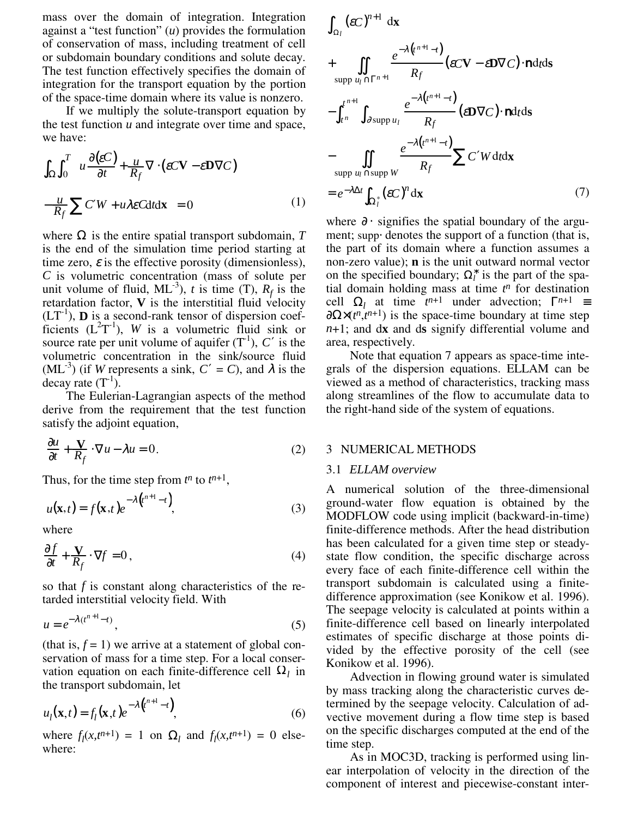mass over the domain of integration. Integration against a "test function" (*u*) provides the formulation of conservation of mass, including treatment of cell or subdomain boundary conditions and solute decay. The test function effectively specifies the domain of integration for the transport equation by the portion of the space-time domain where its value is nonzero.

If we multiply the solute-transport equation by the test function  $u$  and integrate over time and space, we have:

$$
\int_{\Omega} \int_{0}^{T} \left( u \frac{\partial (\varepsilon C)}{\partial t} + \frac{u}{R_{f}} \nabla \cdot (\varepsilon C \mathbf{V} - \varepsilon \mathbf{D} \nabla C) - \frac{u}{R_{f}} \sum_{i} C' W + u \lambda \varepsilon C dt dx \right) = 0
$$
\n(1)

where  $\Omega$  is the entire spatial transport subdomain,  $T$ is the end of the simulation time period starting at time zero,  $\varepsilon$  is the effective porosity (dimensionless), *C* is volumetric concentration (mass of solute per unit volume of fluid,  $ML^{-3}$ ), *t* is time (T),  $R_f$  is the retardation factor, **V** is the interstitial fluid velocity  $(LT^{-1})$ , **D** is a second-rank tensor of dispersion coefficients  $(L^2T^{-1})$ , *W* is a volumetric fluid sink or source rate per unit volume of aquifer  $(T<sup>-1</sup>)$ ,  $C'$  is the volumetric concentration in the sink/source fluid  $(ML^{-3})$  (if *W* represents a sink,  $C' = C$ ), and  $\lambda$  is the decay rate  $(T^{-1})$ .

The Eulerian-Lagrangian aspects of the method derive from the requirement that the test function satisfy the adjoint equation,

$$
\frac{\partial u}{\partial t} + \frac{\mathbf{V}}{R_f} \cdot \nabla u - \lambda u = 0. \tag{2}
$$

Thus, for the time step from  $t^n$  to  $t^{n+1}$ ,

$$
u(\mathbf{x},t) = f(\mathbf{x},t)e^{-\lambda(t^{n+1}-t)},
$$
\n(3)

where

$$
\frac{\partial f}{\partial t} + \frac{\mathbf{V}}{R_f} \cdot \nabla f = 0, \qquad (4)
$$

so that *f* is constant along characteristics of the retarded interstitial velocity field. With

$$
u = e^{-\lambda(t^{n+1}-t)},\tag{5}
$$

(that is,  $f = 1$ ) we arrive at a statement of global conservation of mass for a time step. For a local conservation equation on each finite-difference cell  $\Omega_l$  in the transport subdomain, let

$$
u_l(\mathbf{x},t) = f_l(\mathbf{x},t)e^{-\lambda \left(t^{n+1} - t\right)},
$$
\n(6)

where  $f_l(x, t^{n+1}) = 1$  on  $\Omega_l$  and  $f_l(x, t^{n+1}) = 0$  elsewhere:

$$
\int_{\Omega_{l}} (\varepsilon C)^{n+1} dx
$$
\n+ 
$$
\iint_{\text{supp } u_{l} \cap \Gamma^{n+1}} \frac{e^{-\lambda (t^{n+1}-t)}}{R_{f}} (\varepsilon C V - \varepsilon D V C) \cdot \text{nd}t ds
$$
\n- 
$$
\int_{t^{n}}^{t^{n+1}} \int_{\partial \text{supp } u_{l}} \frac{e^{-\lambda (t^{n+1}-t)}}{R_{f}} (\varepsilon D V C) \cdot \text{nd}t ds
$$
\n- 
$$
\int_{\text{supp } u_{l} \cap \text{supp } W} \frac{e^{-\lambda (t^{n+1}-t)}}{R_{f}} \sum C' W dt dx
$$
\n= 
$$
e^{-\lambda \Delta t} \int_{\Omega_{l}^{*}} (\varepsilon C)^{n} dx
$$
\n(7)

where  $\partial \cdot$  signifies the spatial boundary of the argument; supp⋅ denotes the support of a function (that is, the part of its domain where a function assumes a non-zero value); **n** is the unit outward normal vector on the specified boundary;  $\Omega_l^*$  is the part of the spatial domain holding mass at time *t n* for destination cell  $\Omega_l$  at time  $t^{n+1}$  under advection;  $\Gamma^{n+1}$  =  $\partial \Omega \times (t^n, t^{n+1})$  is the space-time boundary at time step *n*+1; and d**x** and d**s** signify differential volume and area, respectively.

Note that equation 7 appears as space-time integrals of the dispersion equations. ELLAM can be viewed as a method of characteristics, tracking mass along streamlines of the flow to accumulate data to the right-hand side of the system of equations.

#### 3 NUMERICAL METHODS

#### 3.1 *ELLAM overview*

A numerical solution of the three-dimensional ground-water flow equation is obtained by the MODFLOW code using implicit (backward-in-time) finite-difference methods. After the head distribution has been calculated for a given time step or steadystate flow condition, the specific discharge across every face of each finite-difference cell within the transport subdomain is calculated using a finitedifference approximation (see Konikow et al. 1996). The seepage velocity is calculated at points within a finite-difference cell based on linearly interpolated estimates of specific discharge at those points divided by the effective porosity of the cell (see Konikow et al. 1996).

Advection in flowing ground water is simulated by mass tracking along the characteristic curves determined by the seepage velocity. Calculation of advective movement during a flow time step is based on the specific discharges computed at the end of the time step.

As in MOC3D, tracking is performed using linear interpolation of velocity in the direction of the component of interest and piecewise-constant inter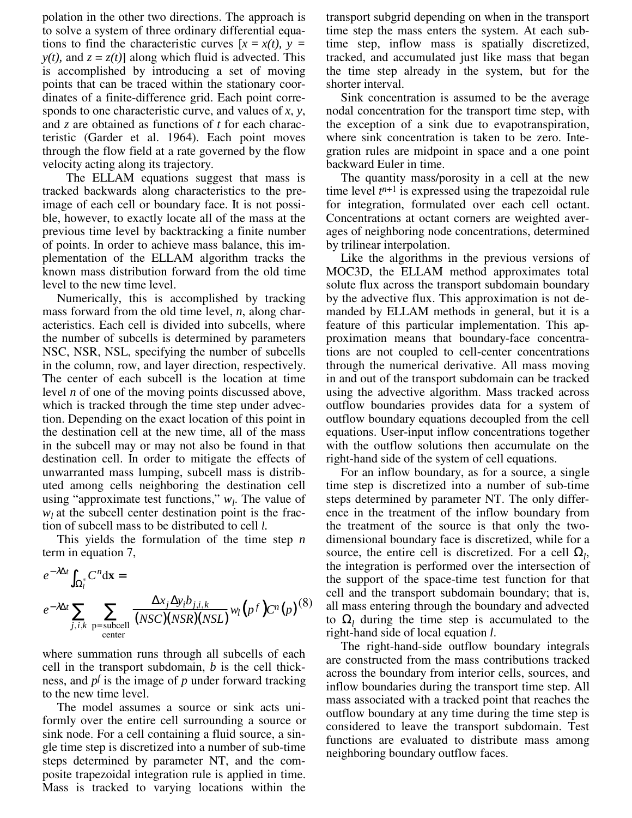polation in the other two directions. The approach is to solve a system of three ordinary differential equations to find the characteristic curves  $[x = x(t), y =$ *y(t),* and  $z = z(t)$ ] along which fluid is advected. This is accomplished by introducing a set of moving points that can be traced within the stationary coordinates of a finite-difference grid. Each point corresponds to one characteristic curve, and values of *x*, *y*, and *z* are obtained as functions of *t* for each characteristic (Garder et al. 1964). Each point moves through the flow field at a rate governed by the flow velocity acting along its trajectory.

The ELLAM equations suggest that mass is tracked backwards along characteristics to the preimage of each cell or boundary face. It is not possible, however, to exactly locate all of the mass at the previous time level by backtracking a finite number of points. In order to achieve mass balance, this implementation of the ELLAM algorithm tracks the known mass distribution forward from the old time level to the new time level.

Numerically, this is accomplished by tracking mass forward from the old time level, *n*, along characteristics. Each cell is divided into subcells, where the number of subcells is determined by parameters NSC, NSR, NSL, specifying the number of subcells in the column, row, and layer direction, respectively. The center of each subcell is the location at time level *n* of one of the moving points discussed above, which is tracked through the time step under advection. Depending on the exact location of this point in the destination cell at the new time, all of the mass in the subcell may or may not also be found in that destination cell. In order to mitigate the effects of unwarranted mass lumping, subcell mass is distributed among cells neighboring the destination cell using "approximate test functions,"  $w_l$ . The value of  $w_l$  at the subcell center destination point is the fraction of subcell mass to be distributed to cell *l.*

This yields the formulation of the time step *n* term in equation 7,

$$
e^{-\lambda \Delta t} \int_{\Omega_l^*} C^n d\mathbf{x} =
$$
  

$$
e^{-\lambda \Delta t} \sum_{j,i,k} \sum_{\substack{\mathbf{p}=\text{subcell} \\ \text{center}}} \frac{\Delta x_j \Delta y_i b_{j,i,k}}{(NSC)(NSR)(NSL)} w_l(p^f) C^n(p)^{(8)}
$$

where summation runs through all subcells of each cell in the transport subdomain, *b* is the cell thickness, and *pf* is the image of *p* under forward tracking to the new time level.

The model assumes a source or sink acts uniformly over the entire cell surrounding a source or sink node. For a cell containing a fluid source, a single time step is discretized into a number of sub-time steps determined by parameter NT, and the composite trapezoidal integration rule is applied in time. Mass is tracked to varying locations within the transport subgrid depending on when in the transport time step the mass enters the system. At each subtime step, inflow mass is spatially discretized, tracked, and accumulated just like mass that began the time step already in the system, but for the shorter interval.

Sink concentration is assumed to be the average nodal concentration for the transport time step, with the exception of a sink due to evapotranspiration, where sink concentration is taken to be zero. Integration rules are midpoint in space and a one point backward Euler in time.

The quantity mass/porosity in a cell at the new time level  $t^{n+1}$  is expressed using the trapezoidal rule for integration, formulated over each cell octant. Concentrations at octant corners are weighted averages of neighboring node concentrations, determined by trilinear interpolation.

Like the algorithms in the previous versions of MOC3D, the ELLAM method approximates total solute flux across the transport subdomain boundary by the advective flux. This approximation is not demanded by ELLAM methods in general, but it is a feature of this particular implementation. This approximation means that boundary-face concentrations are not coupled to cell-center concentrations through the numerical derivative. All mass moving in and out of the transport subdomain can be tracked using the advective algorithm. Mass tracked across outflow boundaries provides data for a system of outflow boundary equations decoupled from the cell equations. User-input inflow concentrations together with the outflow solutions then accumulate on the right-hand side of the system of cell equations.

For an inflow boundary, as for a source, a single time step is discretized into a number of sub-time steps determined by parameter NT. The only difference in the treatment of the inflow boundary from the treatment of the source is that only the twodimensional boundary face is discretized, while for a source, the entire cell is discretized. For a cell  $\Omega_l$ , the integration is performed over the intersection of the support of the space-time test function for that cell and the transport subdomain boundary; that is, all mass entering through the boundary and advected to  $\Omega_l$  during the time step is accumulated to the right-hand side of local equation *l*.

The right-hand-side outflow boundary integrals are constructed from the mass contributions tracked across the boundary from interior cells, sources, and inflow boundaries during the transport time step. All mass associated with a tracked point that reaches the outflow boundary at any time during the time step is considered to leave the transport subdomain. Test functions are evaluated to distribute mass among neighboring boundary outflow faces.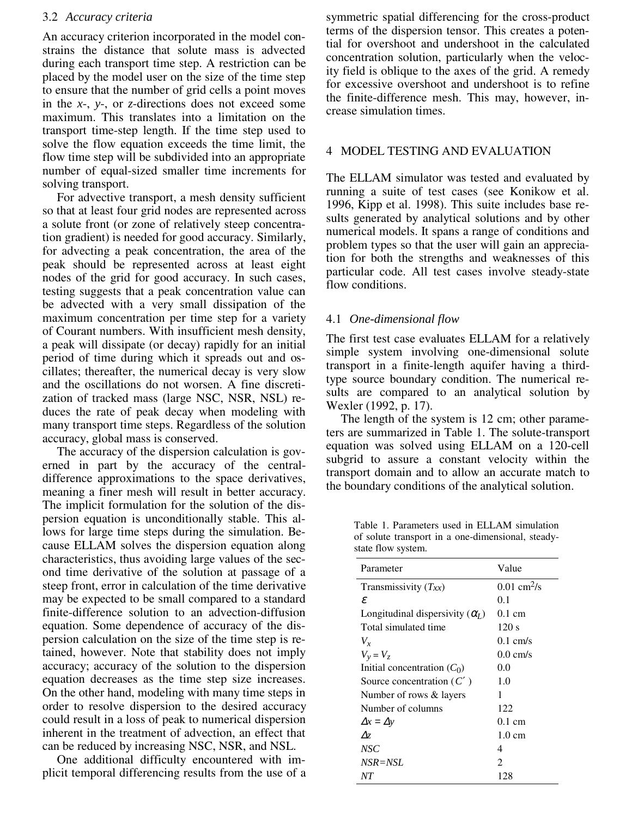## 3.2 *Accuracy criteria*

An accuracy criterion incorporated in the model constrains the distance that solute mass is advected during each transport time step. A restriction can be placed by the model user on the size of the time step to ensure that the number of grid cells a point moves in the *x*-, *y*-, or *z*-directions does not exceed some maximum. This translates into a limitation on the transport time-step length. If the time step used to solve the flow equation exceeds the time limit, the flow time step will be subdivided into an appropriate number of equal-sized smaller time increments for solving transport.

For advective transport, a mesh density sufficient so that at least four grid nodes are represented across a solute front (or zone of relatively steep concentration gradient) is needed for good accuracy. Similarly, for advecting a peak concentration, the area of the peak should be represented across at least eight nodes of the grid for good accuracy. In such cases, testing suggests that a peak concentration value can be advected with a very small dissipation of the maximum concentration per time step for a variety of Courant numbers. With insufficient mesh density, a peak will dissipate (or decay) rapidly for an initial period of time during which it spreads out and oscillates; thereafter, the numerical decay is very slow and the oscillations do not worsen. A fine discretization of tracked mass (large NSC, NSR, NSL) reduces the rate of peak decay when modeling with many transport time steps. Regardless of the solution accuracy, global mass is conserved.

The accuracy of the dispersion calculation is governed in part by the accuracy of the centraldifference approximations to the space derivatives, meaning a finer mesh will result in better accuracy. The implicit formulation for the solution of the dispersion equation is unconditionally stable. This allows for large time steps during the simulation. Because ELLAM solves the dispersion equation along characteristics, thus avoiding large values of the second time derivative of the solution at passage of a steep front, error in calculation of the time derivative may be expected to be small compared to a standard finite-difference solution to an advection-diffusion equation. Some dependence of accuracy of the dispersion calculation on the size of the time step is retained, however. Note that stability does not imply accuracy; accuracy of the solution to the dispersion equation decreases as the time step size increases. On the other hand, modeling with many time steps in order to resolve dispersion to the desired accuracy could result in a loss of peak to numerical dispersion inherent in the treatment of advection, an effect that can be reduced by increasing NSC, NSR, and NSL.

One additional difficulty encountered with implicit temporal differencing results from the use of a symmetric spatial differencing for the cross-product terms of the dispersion tensor. This creates a potential for overshoot and undershoot in the calculated concentration solution, particularly when the velocity field is oblique to the axes of the grid. A remedy for excessive overshoot and undershoot is to refine the finite-difference mesh. This may, however, increase simulation times.

## 4 MODEL TESTING AND EVALUATION

The ELLAM simulator was tested and evaluated by running a suite of test cases (see Konikow et al. 1996, Kipp et al. 1998). This suite includes base results generated by analytical solutions and by other numerical models. It spans a range of conditions and problem types so that the user will gain an appreciation for both the strengths and weaknesses of this particular code. All test cases involve steady-state flow conditions.

# 4.1 *One-dimensional flow*

The first test case evaluates ELLAM for a relatively simple system involving one-dimensional solute transport in a finite-length aquifer having a thirdtype source boundary condition. The numerical results are compared to an analytical solution by Wexler (1992, p. 17).

The length of the system is 12 cm; other parameters are summarized in Table 1. The solute-transport equation was solved using ELLAM on a 120-cell subgrid to assure a constant velocity within the transport domain and to allow an accurate match to the boundary conditions of the analytical solution.

Table 1. Parameters used in ELLAM simulation of solute transport in a one-dimensional, steadystate flow system.

| Parameter                              | Value                     |
|----------------------------------------|---------------------------|
| Transmissivity $(T_{xx})$              | $0.01$ cm <sup>2</sup> /s |
| ε                                      | 0.1                       |
| Longitudinal dispersivity $(\alpha_l)$ | $0.1 \text{ cm}$          |
| Total simulated time                   | 120 s                     |
| $V_{x}$                                | $0.1 \text{ cm/s}$        |
| $V_v = V_z$                            | $0.0 \text{ cm/s}$        |
| Initial concentration $(C_0)$          | 0.0                       |
| Source concentration $(C')$            | 1.0                       |
| Number of rows & layers                | 1                         |
| Number of columns                      | 122                       |
| $\Delta x = \Delta y$                  | 0.1 cm                    |
| $\Delta z$                             | $1.0 \text{ cm}$          |
| NSC <sup>.</sup>                       | 4                         |
| $NSR = NSL$                            | $\mathfrak{D}$            |
| NΤ                                     | 128                       |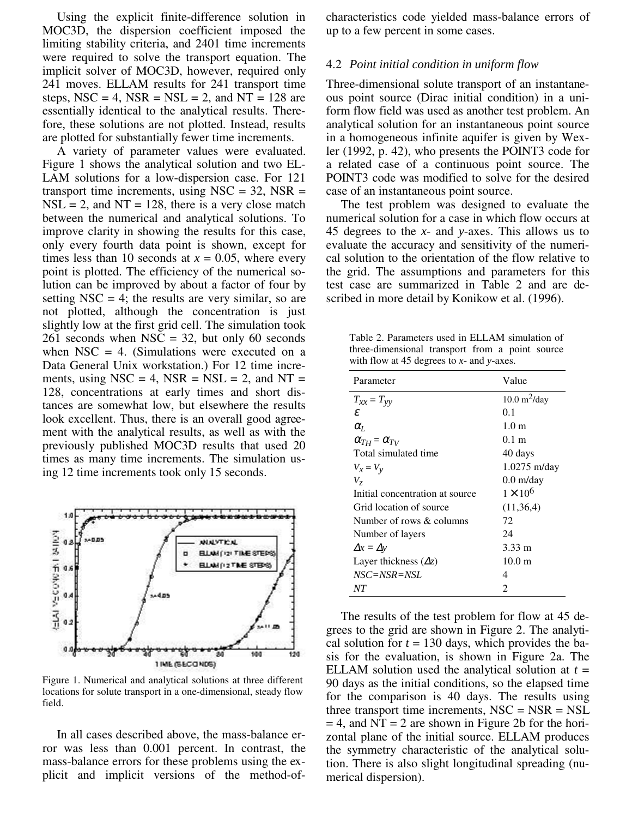Using the explicit finite-difference solution in MOC3D, the dispersion coefficient imposed the limiting stability criteria, and 2401 time increments were required to solve the transport equation. The implicit solver of MOC3D, however, required only 241 moves. ELLAM results for 241 transport time steps,  $NSC = 4$ ,  $NSR = NSL = 2$ , and  $NT = 128$  are essentially identical to the analytical results. Therefore, these solutions are not plotted. Instead, results are plotted for substantially fewer time increments.

A variety of parameter values were evaluated. Figure 1 shows the analytical solution and two EL-LAM solutions for a low-dispersion case. For 121 transport time increments, using  $NSC = 32$ ,  $NSR =$  $NSL = 2$ , and  $NT = 128$ , there is a very close match between the numerical and analytical solutions. To improve clarity in showing the results for this case, only every fourth data point is shown, except for times less than 10 seconds at  $x = 0.05$ , where every point is plotted. The efficiency of the numerical solution can be improved by about a factor of four by setting  $NSC = 4$ ; the results are very similar, so are not plotted, although the concentration is just slightly low at the first grid cell. The simulation took 261 seconds when  $NSC = 32$ , but only 60 seconds when  $NSC = 4$ . (Simulations were executed on a Data General Unix workstation.) For 12 time increments, using  $NSC = 4$ ,  $NSR = NSL = 2$ , and  $NT =$ 128, concentrations at early times and short distances are somewhat low, but elsewhere the results look excellent. Thus, there is an overall good agreement with the analytical results, as well as with the previously published MOC3D results that used 20 times as many time increments. The simulation using 12 time increments took only 15 seconds.



Figure 1. Numerical and analytical solutions at three different locations for solute transport in a one-dimensional, steady flow field.

In all cases described above, the mass-balance error was less than 0.001 percent. In contrast, the mass-balance errors for these problems using the explicit and implicit versions of the method-ofcharacteristics code yielded mass-balance errors of up to a few percent in some cases.

#### 4.2 *Point initial condition in uniform flow*

Three-dimensional solute transport of an instantaneous point source (Dirac initial condition) in a uniform flow field was used as another test problem. An analytical solution for an instantaneous point source in a homogeneous infinite aquifer is given by Wexler (1992, p. 42), who presents the POINT3 code for a related case of a continuous point source. The POINT3 code was modified to solve for the desired case of an instantaneous point source.

The test problem was designed to evaluate the numerical solution for a case in which flow occurs at 45 degrees to the *x*- and *y*-axes. This allows us to evaluate the accuracy and sensitivity of the numerical solution to the orientation of the flow relative to the grid. The assumptions and parameters for this test case are summarized in Table 2 and are described in more detail by Konikow et al. (1996).

Table 2. Parameters used in ELLAM simulation of three-dimensional transport from a point source with flow at 45 degrees to *x-* and *y-*axes.

| Parameter                       | Value                         |  |
|---------------------------------|-------------------------------|--|
| $T_{xx} = T_{yy}$               | $10.0 \text{ m}^2/\text{day}$ |  |
| ε                               | 0.1                           |  |
| $\alpha$ <sub>L</sub>           | 1.0 <sub>m</sub>              |  |
| $\alpha_{TH} = \alpha_{TV}$     | $0.1 \text{ m}$               |  |
| Total simulated time            | 40 days                       |  |
| $V_x = V_y$                     | $1.0275$ m/day                |  |
| V <sub>7</sub>                  | $0.0$ m/day                   |  |
| Initial concentration at source | $1 \times 10^6$               |  |
| Grid location of source         | (11,36,4)                     |  |
| Number of rows & columns        | 72                            |  |
| Number of layers                | 24                            |  |
| $\Delta x = \Delta y$           | $3.33 \; \mathrm{m}$          |  |
| Layer thickness $(\Delta z)$    | 10.0 <sub>m</sub>             |  |
| $NSC = NSR = NSL$               | 4                             |  |
| NT                              | 2                             |  |

The results of the test problem for flow at 45 degrees to the grid are shown in Figure 2. The analytical solution for  $t = 130$  days, which provides the basis for the evaluation, is shown in Figure 2a. The ELLAM solution used the analytical solution at  $t =$ 90 days as the initial conditions, so the elapsed time for the comparison is 40 days. The results using three transport time increments,  $NSC = NSR = NSL$  $= 4$ , and NT = 2 are shown in Figure 2b for the horizontal plane of the initial source. ELLAM produces the symmetry characteristic of the analytical solution. There is also slight longitudinal spreading (numerical dispersion).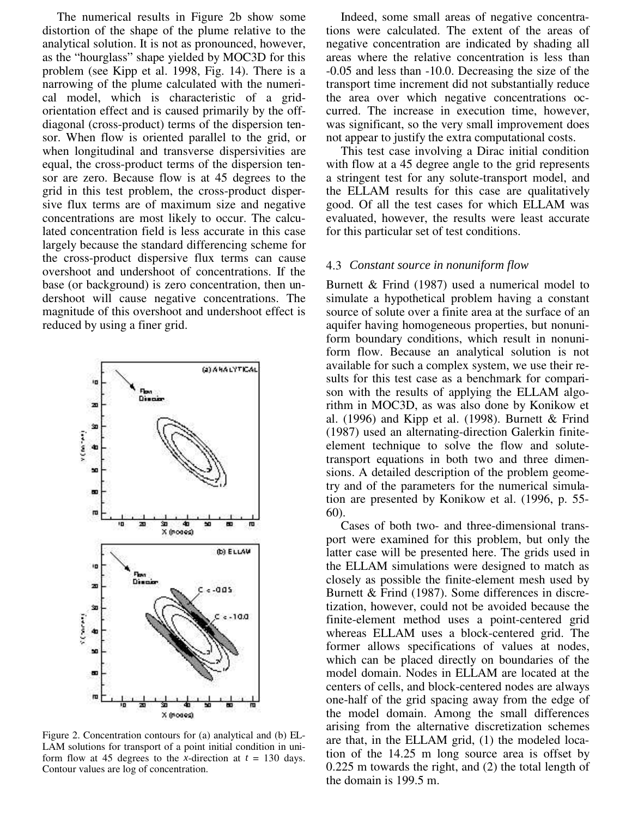The numerical results in Figure 2b show some distortion of the shape of the plume relative to the analytical solution. It is not as pronounced, however, as the "hourglass" shape yielded by MOC3D for this problem (see Kipp et al. 1998, Fig. 14). There is a narrowing of the plume calculated with the numerical model, which is characteristic of a gridorientation effect and is caused primarily by the offdiagonal (cross-product) terms of the dispersion tensor. When flow is oriented parallel to the grid, or when longitudinal and transverse dispersivities are equal, the cross-product terms of the dispersion tensor are zero. Because flow is at 45 degrees to the grid in this test problem, the cross-product dispersive flux terms are of maximum size and negative concentrations are most likely to occur. The calculated concentration field is less accurate in this case largely because the standard differencing scheme for the cross-product dispersive flux terms can cause overshoot and undershoot of concentrations. If the base (or background) is zero concentration, then undershoot will cause negative concentrations. The magnitude of this overshoot and undershoot effect is reduced by using a finer grid.



Figure 2. Concentration contours for (a) analytical and (b) EL-LAM solutions for transport of a point initial condition in uniform flow at 45 degrees to the *x*-direction at  $t = 130$  days. Contour values are log of concentration.

Indeed, some small areas of negative concentrations were calculated. The extent of the areas of negative concentration are indicated by shading all areas where the relative concentration is less than -0.05 and less than -10.0. Decreasing the size of the transport time increment did not substantially reduce the area over which negative concentrations occurred. The increase in execution time, however, was significant, so the very small improvement does not appear to justify the extra computational costs.

This test case involving a Dirac initial condition with flow at a 45 degree angle to the grid represents a stringent test for any solute-transport model, and the ELLAM results for this case are qualitatively good. Of all the test cases for which ELLAM was evaluated, however, the results were least accurate for this particular set of test conditions.

#### 4.3 *Constant source in nonuniform flow*

Burnett & Frind (1987) used a numerical model to simulate a hypothetical problem having a constant source of solute over a finite area at the surface of an aquifer having homogeneous properties, but nonuniform boundary conditions, which result in nonuniform flow. Because an analytical solution is not available for such a complex system, we use their results for this test case as a benchmark for comparison with the results of applying the ELLAM algorithm in MOC3D, as was also done by Konikow et al. (1996) and Kipp et al. (1998). Burnett & Frind (1987) used an alternating-direction Galerkin finiteelement technique to solve the flow and solutetransport equations in both two and three dimensions. A detailed description of the problem geometry and of the parameters for the numerical simulation are presented by Konikow et al. (1996, p. 55- 60).

Cases of both two- and three-dimensional transport were examined for this problem, but only the latter case will be presented here. The grids used in the ELLAM simulations were designed to match as closely as possible the finite-element mesh used by Burnett & Frind (1987). Some differences in discretization, however, could not be avoided because the finite-element method uses a point-centered grid whereas ELLAM uses a block-centered grid. The former allows specifications of values at nodes, which can be placed directly on boundaries of the model domain. Nodes in ELLAM are located at the centers of cells, and block-centered nodes are always one-half of the grid spacing away from the edge of the model domain. Among the small differences arising from the alternative discretization schemes are that, in the ELLAM grid, (1) the modeled location of the 14.25 m long source area is offset by 0.225 m towards the right, and (2) the total length of the domain is 199.5 m.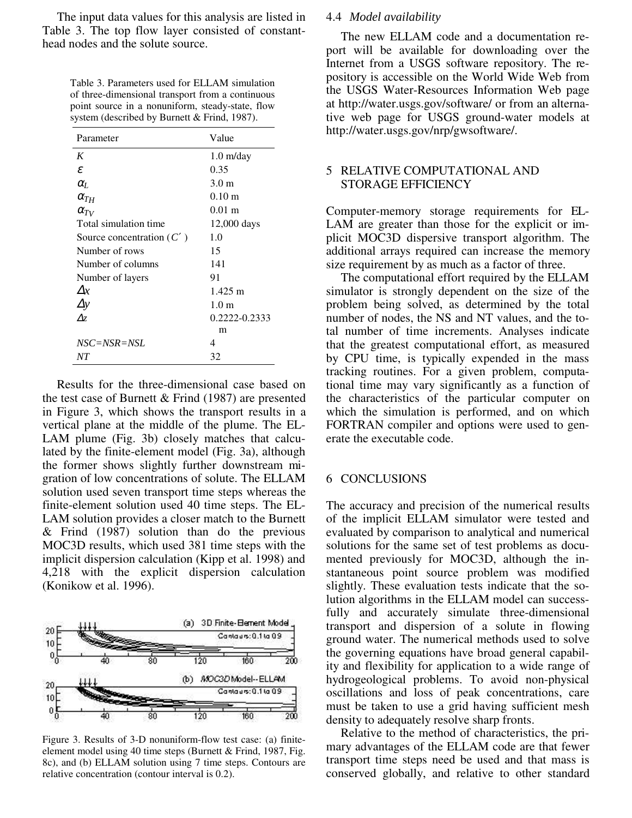The input data values for this analysis are listed in Table 3. The top flow layer consisted of constanthead nodes and the solute source.

> Table 3. Parameters used for ELLAM simulation of three-dimensional transport from a continuous point source in a nonuniform, steady-state, flow system (described by Burnett & Frind, 1987).

| Parameter                   | Value                |  |
|-----------------------------|----------------------|--|
| K                           | $1.0 \text{ m/day}$  |  |
| ε                           | 0.35                 |  |
| $\alpha$ <sub>L</sub>       | 3.0 <sub>m</sub>     |  |
| $\alpha_{TH}$               | $0.10 \text{ m}$     |  |
| $\alpha_{TV}$               | $0.01 \; \mathrm{m}$ |  |
| Total simulation time       | 12,000 days          |  |
| Source concentration $(C')$ | 1.0                  |  |
| Number of rows              | 15                   |  |
| Number of columns           | 141                  |  |
| Number of layers            | 91                   |  |
| $\Lambda x$                 | $1.425 \text{ m}$    |  |
| $\Delta y$                  | 1.0 <sub>m</sub>     |  |
| $\Delta z$                  | 0.2222-0.2333        |  |
|                             | m                    |  |
| $NSC = NSR = NSL$           | 4                    |  |
| NΤ                          | 32                   |  |

Results for the three-dimensional case based on the test case of Burnett  $&$  Frind (1987) are presented in Figure 3, which shows the transport results in a vertical plane at the middle of the plume. The EL-LAM plume (Fig. 3b) closely matches that calculated by the finite-element model (Fig. 3a), although the former shows slightly further downstream migration of low concentrations of solute. The ELLAM solution used seven transport time steps whereas the finite-element solution used 40 time steps. The EL-LAM solution provides a closer match to the Burnett & Frind (1987) solution than do the previous MOC3D results, which used 381 time steps with the implicit dispersion calculation (Kipp et al. 1998) and 4,218 with the explicit dispersion calculation (Konikow et al. 1996).



Figure 3. Results of 3-D nonuniform-flow test case: (a) finiteelement model using 40 time steps (Burnett & Frind, 1987, Fig. 8c), and (b) ELLAM solution using 7 time steps. Contours are relative concentration (contour interval is 0.2).

# 4.4 *Model availability*

The new ELLAM code and a documentation report will be available for downloading over the Internet from a USGS software repository. The repository is accessible on the World Wide Web from the USGS Water-Resources Information Web page at http://water.usgs.gov/software/ or from an alternative web page for USGS ground-water models at http://water.usgs.gov/nrp/gwsoftware/.

### 5 RELATIVE COMPUTATIONAL AND STORAGE EFFICIENCY

Computer-memory storage requirements for EL-LAM are greater than those for the explicit or implicit MOC3D dispersive transport algorithm. The additional arrays required can increase the memory size requirement by as much as a factor of three.

The computational effort required by the ELLAM simulator is strongly dependent on the size of the problem being solved, as determined by the total number of nodes, the NS and NT values, and the total number of time increments. Analyses indicate that the greatest computational effort, as measured by CPU time, is typically expended in the mass tracking routines. For a given problem, computational time may vary significantly as a function of the characteristics of the particular computer on which the simulation is performed, and on which FORTRAN compiler and options were used to generate the executable code.

#### 6 CONCLUSIONS

The accuracy and precision of the numerical results of the implicit ELLAM simulator were tested and evaluated by comparison to analytical and numerical solutions for the same set of test problems as documented previously for MOC3D, although the instantaneous point source problem was modified slightly. These evaluation tests indicate that the solution algorithms in the ELLAM model can successfully and accurately simulate three-dimensional transport and dispersion of a solute in flowing ground water. The numerical methods used to solve the governing equations have broad general capability and flexibility for application to a wide range of hydrogeological problems. To avoid non-physical oscillations and loss of peak concentrations, care must be taken to use a grid having sufficient mesh density to adequately resolve sharp fronts.

Relative to the method of characteristics, the primary advantages of the ELLAM code are that fewer transport time steps need be used and that mass is conserved globally, and relative to other standard